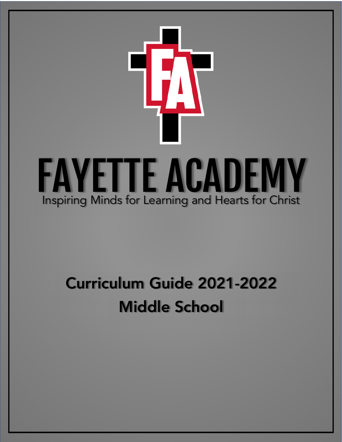

# Curriculum Guide 2021-2022 Middle School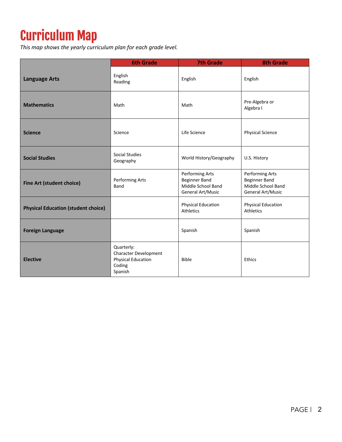## Curriculum Map

*This map shows the yearly curriculum plan for each grade level.* 

|                                            | <b>6th Grade</b>                                                                      | <b>7th Grade</b>                                                                   | <b>8th Grade</b>                                                                   |
|--------------------------------------------|---------------------------------------------------------------------------------------|------------------------------------------------------------------------------------|------------------------------------------------------------------------------------|
| <b>Language Arts</b>                       | English<br>Reading                                                                    | English                                                                            | English                                                                            |
| <b>Mathematics</b>                         | Math                                                                                  | Math                                                                               | Pre-Algebra or<br>Algebra I                                                        |
| <b>Science</b>                             | Science                                                                               | Life Science                                                                       | <b>Physical Science</b>                                                            |
| <b>Social Studies</b>                      | Social Studies<br>Geography                                                           | World History/Geography                                                            | U.S. History                                                                       |
| Fine Art (student choice)                  | Performing Arts<br>Band                                                               | Performing Arts<br><b>Beginner Band</b><br>Middle School Band<br>General Art/Music | Performing Arts<br><b>Beginner Band</b><br>Middle School Band<br>General Art/Music |
| <b>Physical Education (student choice)</b> |                                                                                       | <b>Physical Education</b><br>Athletics                                             | Physical Education<br>Athletics                                                    |
| <b>Foreign Language</b>                    |                                                                                       | Spanish                                                                            | Spanish                                                                            |
| <b>Elective</b>                            | Quarterly:<br>Character Development<br><b>Physical Education</b><br>Coding<br>Spanish | <b>Bible</b>                                                                       | Ethics                                                                             |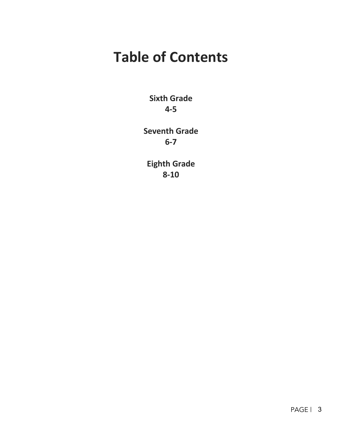### **Table of Contents**

**Sixth Grade 4-5** 

**Seventh Grade 6-7** 

**Eighth Grade 8-10**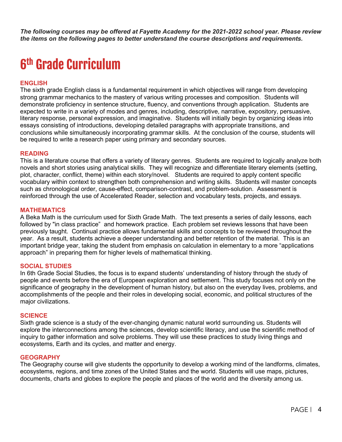*The following courses may be offered at Fayette Academy for the 2021-2022 school year. Please review the items on the following pages to better understand the course descriptions and requirements.* 

### 6 th Grade Curriculum

#### **ENGLISH**

The sixth grade English class is a fundamental requirement in which objectives will range from developing strong grammar mechanics to the mastery of various writing processes and composition. Students will demonstrate proficiency in sentence structure, fluency, and conventions through application. Students are expected to write in a variety of modes and genres, including, descriptive, narrative, expository, persuasive, literary response, personal expression, and imaginative. Students will initially begin by organizing ideas into essays consisting of introductions, developing detailed paragraphs with appropriate transitions, and conclusions while simultaneously incorporating grammar skills. At the conclusion of the course, students will be required to write a research paper using primary and secondary sources.

#### **READING**

This is a literature course that offers a variety of literary genres. Students are required to logically analyze both novels and short stories using analytical skills. They will recognize and differentiate literary elements (setting, plot, character, conflict, theme) within each story/novel. Students are required to apply content specific vocabulary within context to strengthen both comprehension and writing skills. Students will master concepts such as chronological order, cause-effect, comparison-contrast, and problem-solution. Assessment is reinforced through the use of Accelerated Reader, selection and vocabulary tests, projects, and essays.

#### **MATHEMATICS**

A Beka Math is the curriculum used for Sixth Grade Math. The text presents a series of daily lessons, each followed by "in class practice" and homework practice. Each problem set reviews lessons that have been previously taught. Continual practice allows fundamental skills and concepts to be reviewed throughout the year. As a result, students achieve a deeper understanding and better retention of the material. This is an important bridge year, taking the student from emphasis on calculation in elementary to a more "applications approach" in preparing them for higher levels of mathematical thinking.

#### **SOCIAL STUDIES**

In 6th Grade Social Studies, the focus is to expand students' understanding of history through the study of people and events before the era of European exploration and settlement. This study focuses not only on the significance of geography in the development of human history, but also on the everyday lives, problems, and accomplishments of the people and their roles in developing social, economic, and political structures of the major civilizations.

#### **SCIENCE**

Sixth grade science is a study of the ever-changing dynamic natural world surrounding us. Students will explore the interconnections among the sciences, develop scientific literacy, and use the scientific method of inquiry to gather information and solve problems. They will use these practices to study living things and ecosystems, Earth and its cycles, and matter and energy.

#### **GEOGRAPHY**

The Geography course will give students the opportunity to develop a working mind of the landforms, climates, ecosystems, regions, and time zones of the United States and the world. Students will use maps, pictures, documents, charts and globes to explore the people and places of the world and the diversity among us.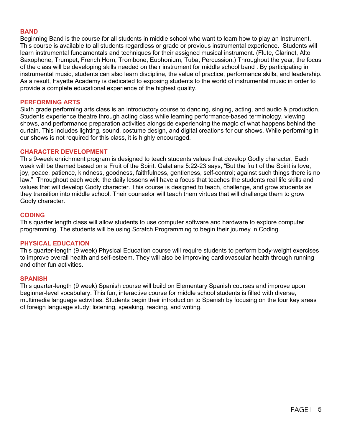#### **BAND**

Beginning Band is the course for all students in middle school who want to learn how to play an Instrument. This course is available to all students regardless or grade or previous instrumental experience. Students will learn instrumental fundamentals and techniques for their assigned musical instrument. (Flute, Clarinet, Alto Saxophone, Trumpet, French Horn, Trombone, Euphonium, Tuba, Percussion.) Throughout the year, the focus of the class will be developing skills needed on their instrument for middle school band . By participating in instrumental music, students can also learn discipline, the value of practice, performance skills, and leadership. As a result, Fayette Academy is dedicated to exposing students to the world of instrumental music in order to provide a complete educational experience of the highest quality.

#### **PERFORMING ARTS**

Sixth grade performing arts class is an introductory course to dancing, singing, acting, and audio & production. Students experience theatre through acting class while learning performance-based terminology, viewing shows, and performance preparation activities alongside experiencing the magic of what happens behind the curtain. This includes lighting, sound, costume design, and digital creations for our shows. While performing in our shows is not required for this class, it is highly encouraged.

#### **CHARACTER DEVELOPMENT**

This 9-week enrichment program is designed to teach students values that develop Godly character. Each week will be themed based on a Fruit of the Spirit. Galatians 5:22-23 says, "But the fruit of the Spirit is love, joy, peace, patience, kindness, goodness, faithfulness, gentleness, self-control; against such things there is no law." Throughout each week, the daily lessons will have a focus that teaches the students real life skills and values that will develop Godly character. This course is designed to teach, challenge, and grow students as they transition into middle school. Their counselor will teach them virtues that will challenge them to grow Godly character.

#### **CODING**

This quarter length class will allow students to use computer software and hardware to explore computer programming. The students will be using Scratch Programming to begin their journey in Coding.

#### **PHYSICAL EDUCATION**

This quarter-length (9 week) Physical Education course will require students to perform body-weight exercises to improve overall health and self-esteem. They will also be improving cardiovascular health through running and other fun activities.

#### **SPANISH**

This quarter-length (9 week) Spanish course will build on Elementary Spanish courses and improve upon beginner-level vocabulary. This fun, interactive course for middle school students is filled with diverse, multimedia language activities. Students begin their introduction to Spanish by focusing on the four key areas of foreign language study: listening, speaking, reading, and writing.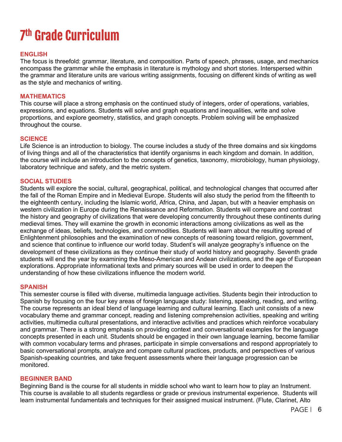### 7 th Grade Curriculum

#### **ENGLISH**

The focus is threefold: grammar, literature, and composition. Parts of speech, phrases, usage, and mechanics encompass the grammar while the emphasis in literature is mythology and short stories. Interspersed within the grammar and literature units are various writing assignments, focusing on different kinds of writing as well as the style and mechanics of writing.

#### **MATHEMATICS**

This course will place a strong emphasis on the continued study of integers, order of operations, variables, expressions, and equations. Students will solve and graph equations and inequalities, write and solve proportions, and explore geometry, statistics, and graph concepts. Problem solving will be emphasized throughout the course.

#### **SCIENCE**

Life Science is an introduction to biology. The course includes a study of the three domains and six kingdoms of living things and all of the characteristics that identify organisms in each kingdom and domain. In addition, the course will include an introduction to the concepts of genetics, taxonomy, microbiology, human physiology, laboratory technique and safety, and the metric system.

#### **SOCIAL STUDIES**

Students will explore the social, cultural, geographical, political, and technological changes that occurred after the fall of the Roman Empire and in Medieval Europe. Students will also study the period from the fifteenth to the eighteenth century, including the Islamic world, Africa, China, and Japan, but with a heavier emphasis on western civilization in Europe during the Renaissance and Reformation. Students will compare and contrast the history and geography of civilizations that were developing concurrently throughout these continents during medieval times. They will examine the growth in economic interactions among civilizations as well as the exchange of ideas, beliefs, technologies, and commodities. Students will learn about the resulting spread of Enlightenment philosophies and the examination of new concepts of reasoning toward religion, government, and science that continue to influence our world today. Student's will analyze geography's influence on the development of these civilizations as they continue their study of world history and geography. Seventh grade students will end the year by examining the Meso-American and Andean civilizations, and the age of European explorations. Appropriate informational texts and primary sources will be used in order to deepen the understanding of how these civilizations influence the modern world.

#### **SPANISH**

This semester course is filled with diverse, multimedia language activities. Students begin their introduction to Spanish by focusing on the four key areas of foreign language study: listening, speaking, reading, and writing. The course represents an ideal blend of language learning and cultural learning. Each unit consists of a new vocabulary theme and grammar concept, reading and listening comprehension activities, speaking and writing activities, multimedia cultural presentations, and interactive activities and practices which reinforce vocabulary and grammar. There is a strong emphasis on providing context and conversational examples for the language concepts presented in each unit. Students should be engaged in their own language learning, become familiar with common vocabulary terms and phrases, participate in simple conversations and respond appropriately to basic conversational prompts, analyze and compare cultural practices, products, and perspectives of various Spanish-speaking countries, and take frequent assessments where their language progression can be monitored.

#### **BEGINNER BAND**

Beginning Band is the course for all students in middle school who want to learn how to play an Instrument. This course is available to all students regardless or grade or previous instrumental experience. Students will learn instrumental fundamentals and techniques for their assigned musical instrument. (Flute, Clarinet, Alto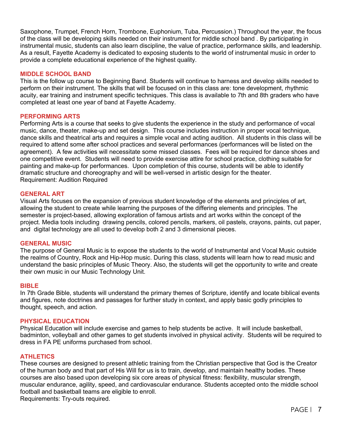Saxophone, Trumpet, French Horn, Trombone, Euphonium, Tuba, Percussion.) Throughout the year, the focus of the class will be developing skills needed on their instrument for middle school band . By participating in instrumental music, students can also learn discipline, the value of practice, performance skills, and leadership. As a result, Fayette Academy is dedicated to exposing students to the world of instrumental music in order to provide a complete educational experience of the highest quality.

#### **MIDDLE SCHOOL BAND**

This is the follow up course to Beginning Band. Students will continue to harness and develop skills needed to perform on their instrument. The skills that will be focused on in this class are: tone development, rhythmic acuity, ear training and instrument specific techniques. This class is available to 7th and 8th graders who have completed at least one year of band at Fayette Academy.

#### **PERFORMING ARTS**

Performing Arts is a course that seeks to give students the experience in the study and performance of vocal music, dance, theater, make-up and set design. This course includes instruction in proper vocal technique, dance skills and theatrical arts and requires a simple vocal and acting audition. All students in this class will be required to attend some after school practices and several performances (performances will be listed on the agreement). A few activities will necessitate some missed classes. Fees will be required for dance shoes and one competitive event. Students will need to provide exercise attire for school practice, clothing suitable for painting and make-up for performances. Upon completion of this course, students will be able to identify dramatic structure and choreography and will be well-versed in artistic design for the theater. Requirement: Audition Required

#### **GENERAL ART**

Visual Arts focuses on the expansion of previous student knowledge of the elements and principles of art, allowing the student to create while learning the purposes of the differing elements and principles. The semester is project-based, allowing exploration of famous artists and art works within the concept of the project. Media tools including drawing pencils, colored pencils, markers, oil pastels, crayons, paints, cut paper, and digital technology are all used to develop both 2 and 3 dimensional pieces.

#### **GENERAL MUSIC**

The purpose of General Music is to expose the students to the world of Instrumental and Vocal Music outside the realms of Country, Rock and Hip-Hop music. During this class, students will learn how to read music and understand the basic principles of Music Theory. Also, the students will get the opportunity to write and create their own music in our Music Technology Unit.

#### **BIBLE**

In 7th Grade Bible, students will understand the primary themes of Scripture, identify and locate biblical events and figures, note doctrines and passages for further study in context, and apply basic godly principles to thought, speech, and action.

#### **PHYSICAL EDUCATION**

Physical Education will include exercise and games to help students be active. It will include basketball, badminton, volleyball and other games to get students involved in physical activity. Students will be required to dress in FA PE uniforms purchased from school.

#### **ATHLETICS**

These courses are designed to present athletic training from the Christian perspective that God is the Creator of the human body and that part of His Will for us is to train, develop, and maintain healthy bodies. These courses are also based upon developing six core areas of physical fitness: flexibility, muscular strength, muscular endurance, agility, speed, and cardiovascular endurance. Students accepted onto the middle school football and basketball teams are eligible to enroll.

Requirements: Try-outs required.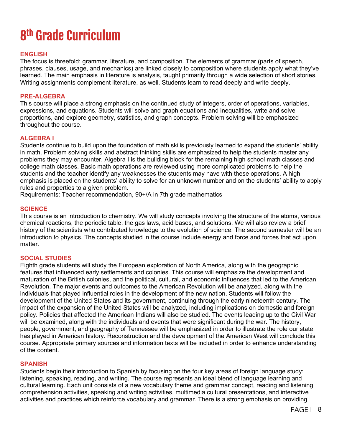### 8 th Grade Curriculum

#### **ENGLISH**

The focus is threefold: grammar, literature, and composition. The elements of grammar (parts of speech, phrases, clauses, usage, and mechanics) are linked closely to composition where students apply what they've learned. The main emphasis in literature is analysis, taught primarily through a wide selection of short stories. Writing assignments complement literature, as well. Students learn to read deeply and write deeply.

#### **PRE-ALGEBRA**

This course will place a strong emphasis on the continued study of integers, order of operations, variables, expressions, and equations. Students will solve and graph equations and inequalities, write and solve proportions, and explore geometry, statistics, and graph concepts. Problem solving will be emphasized throughout the course.

#### **ALGEBRA I**

Students continue to build upon the foundation of math skills previously learned to expand the students' ability in math. Problem solving skills and abstract thinking skills are emphasized to help the students master any problems they may encounter. Algebra I is the building block for the remaining high school math classes and college math classes. Basic math operations are reviewed using more complicated problems to help the students and the teacher identify any weaknesses the students may have with these operations. A high emphasis is placed on the students' ability to solve for an unknown number and on the students' ability to apply rules and properties to a given problem.

Requirements: Teacher recommendation, 90+/A in 7th grade mathematics

#### **SCIENCE**

This course is an introduction to chemistry. We will study concepts involving the structure of the atoms, various chemical reactions, the periodic table, the gas laws, acid bases, and solutions. We will also review a brief history of the scientists who contributed knowledge to the evolution of science. The second semester will be an introduction to physics. The concepts studied in the course include energy and force and forces that act upon matter.

#### **SOCIAL STUDIES**

Eighth grade students will study the European exploration of North America, along with the geographic features that influenced early settlements and colonies. This course will emphasize the development and maturation of the British colonies, and the political, cultural, and economic influences that led to the American Revolution. The major events and outcomes to the American Revolution will be analyzed, along with the individuals that played influential roles in the development of the new nation. Students will follow the development of the United States and its government, continuing through the early nineteenth century. The impact of the expansion of the United States will be analyzed, including implications on domestic and foreign policy. Policies that affected the American Indians will also be studied. The events leading up to the Civil War will be examined, along with the individuals and events that were significant during the war. The history, people, government, and geography of Tennessee will be emphasized in order to illustrate the role our state has played in American history. Reconstruction and the development of the American West will conclude this course. Appropriate primary sources and information texts will be included in order to enhance understanding of the content.

#### **SPANISH**

Students begin their introduction to Spanish by focusing on the four key areas of foreign language study: listening, speaking, reading, and writing. The course represents an ideal blend of language learning and cultural learning. Each unit consists of a new vocabulary theme and grammar concept, reading and listening comprehension activities, speaking and writing activities, multimedia cultural presentations, and interactive activities and practices which reinforce vocabulary and grammar. There is a strong emphasis on providing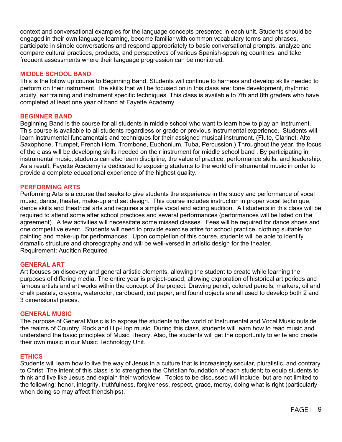context and conversational examples for the language concepts presented in each unit. Students should be engaged in their own language learning, become familiar with common vocabulary terms and phrases, participate in simple conversations and respond appropriately to basic conversational prompts, analyze and compare cultural practices, products, and perspectives of various Spanish-speaking countries, and take frequent assessments where their language progression can be monitored.

#### **MIDDLE SCHOOL BAND**

This is the follow up course to Beginning Band. Students will continue to harness and develop skills needed to perform on their instrument. The skills that will be focused on in this class are: tone development, rhythmic acuity, ear training and instrument specific techniques. This class is available to 7th and 8th graders who have completed at least one year of band at Fayette Academy.

#### **BEGINNER BAND**

Beginning Band is the course for all students in middle school who want to learn how to play an Instrument. This course is available to all students regardless or grade or previous instrumental experience. Students will learn instrumental fundamentals and techniques for their assigned musical instrument. (Flute, Clarinet, Alto Saxophone, Trumpet, French Horn, Trombone, Euphonium, Tuba, Percussion.) Throughout the year, the focus of the class will be developing skills needed on their instrument for middle school band . By participating in instrumental music, students can also learn discipline, the value of practice, performance skills, and leadership. As a result, Fayette Academy is dedicated to exposing students to the world of instrumental music in order to provide a complete educational experience of the highest quality.

#### **PERFORMING ARTS**

Performing Arts is a course that seeks to give students the experience in the study and performance of vocal music, dance, theater, make-up and set design. This course includes instruction in proper vocal technique, dance skills and theatrical arts and requires a simple vocal and acting audition. All students in this class will be required to attend some after school practices and several performances (performances will be listed on the agreement). A few activities will necessitate some missed classes. Fees will be required for dance shoes and one competitive event. Students will need to provide exercise attire for school practice, clothing suitable for painting and make-up for performances. Upon completion of this course, students will be able to identify dramatic structure and choreography and will be well-versed in artistic design for the theater. Requirement: Audition Required

#### **GENERAL ART**

Art focuses on discovery and general artistic elements, allowing the student to create while learning the purposes of differing media. The entire year is project-based, allowing exploration of historical art periods and famous artists and art works within the concept of the project. Drawing pencil, colored pencils, markers, oil and chalk pastels, crayons, watercolor, cardboard, cut paper, and found objects are all used to develop both 2 and 3 dimensional pieces.

#### **GENERAL MUSIC**

The purpose of General Music is to expose the students to the world of Instrumental and Vocal Music outside the realms of Country, Rock and Hip-Hop music. During this class, students will learn how to read music and understand the basic principles of Music Theory. Also, the students will get the opportunity to write and create their own music in our Music Technology Unit.

#### **ETHICS**

Students will learn how to live the way of Jesus in a culture that is increasingly secular, pluralistic, and contrary to Christ. The intent of this class is to strengthen the Christian foundation of each student; to equip students to think and live like Jesus and explain their worldview. Topics to be discussed will include, but are not limited to the following: honor, integrity, truthfulness, forgiveness, respect, grace, mercy, doing what is right (particularly when doing so may affect friendships).